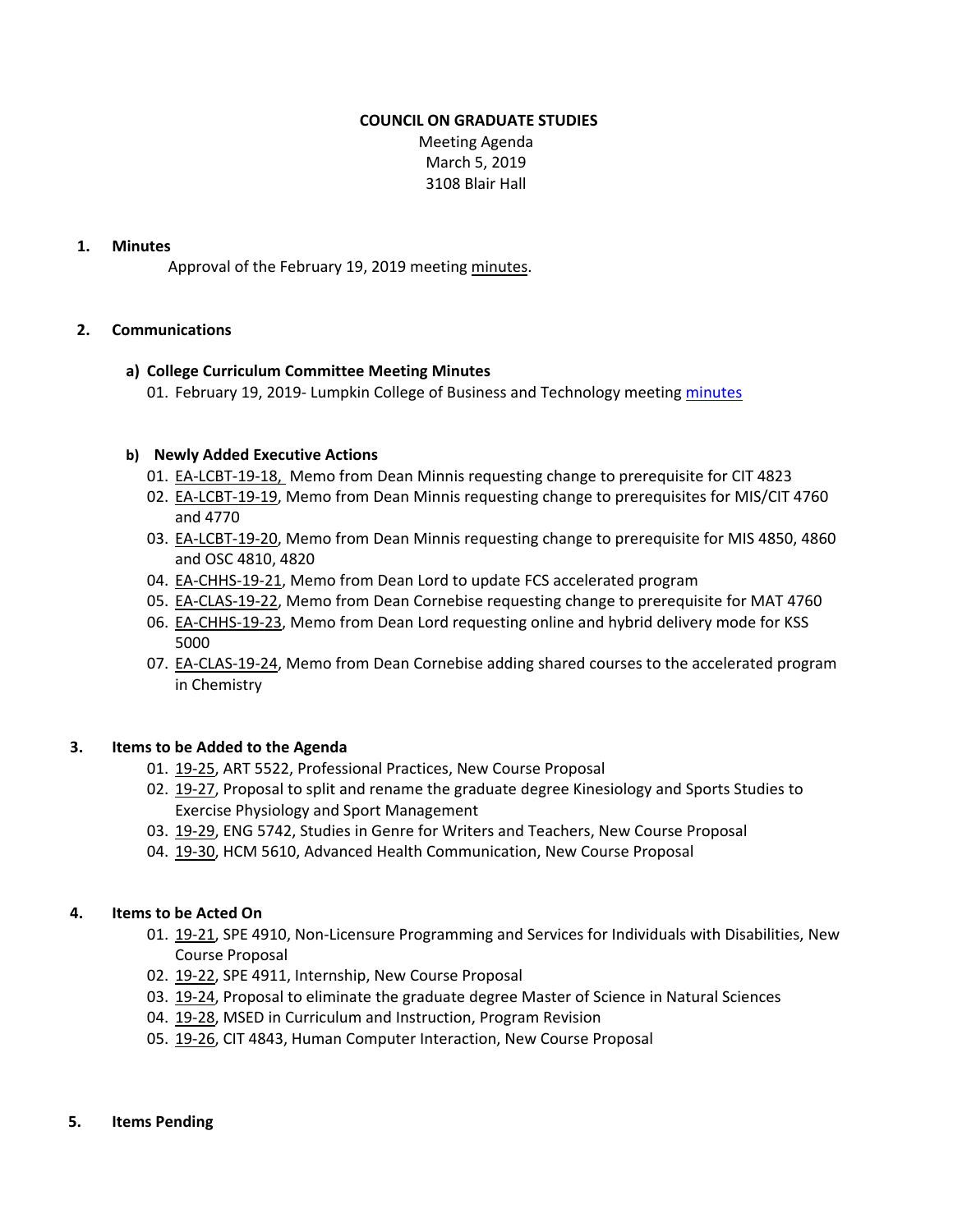## **COUNCIL ON GRADUATE STUDIES**

Meeting Agenda March 5, 2019 3108 Blair Hall

## **1. Minutes**

Approval of the February 19, 2019 meeting [minutes.](http://castle.eiu.edu/~eiucgs/currentminutes/Minutes2-19-19.pdf) 

## **2. Communications**

## **a) College Curriculum Committee Meeting Minutes**

01. February 19, 2019- Lumpkin College of Business and Technology meetin[g minutes](https://www.eiu.edu/lumpkin/curriculum/lcbatcurrmin20190219.pdf)

## **b) Newly Added Executive Actions**

- 01. EA-LCBT-19-18, Memo from Dean Minnis requesting change to prerequisite for CIT 4823
- 02. [EA‐LCBT‐19‐19, M](http://castle.eiu.edu/eiucgs/exec-actions/EA-LCBT-19-19.pdf)emo from Dean Minnis requesting change to prerequisites for MIS/CIT 4760 and 4770
- 03. EA-LCBT-19-20, Memo from Dean Minnis requesting change to prerequisite for MIS 4850, 4860 and OSC 4810, 4820
- 04. EA-CHHS-19-21, Memo from Dean Lord to update FCS accelerated program
- 05. [EA‐CLAS‐19‐22, M](http://castle.eiu.edu/eiucgs/exec-actions/EA-CLAS-19-22.pdf)emo from Dean Cornebise requesting change to prerequisite for MAT 4760
- 06. EA-CHHS-19-23, Memo from Dean Lord requesting online and hybrid delivery mode for KSS 5000
- 07. EA-CLAS-19-24, Memo from Dean Cornebise adding shared courses to the accelerated program in Chemistry

#### **3. Items to be Added to the Agenda**

- 01. [19‐25, A](http://castle.eiu.edu/eiucgs/currentagendaitems/agenda19-25.pdf)RT 5522, Professional Practices, New Course Proposal
- 02. 19-27, Proposal to split and rename the graduate degree Kinesiology and Sports Studies to Exercise Physiology and Sport Management
- 03. [19‐29, EN](http://castle.eiu.edu/eiucgs/currentagendaitems/agenda19-29.pdf)G 5742, Studies in Genre for Writers and Teachers, New Course Proposal
- 04. 19-30, HCM 5610, Advanced Health Communication, New Course Proposal

#### **4. Items to be Acted On**

- 01. 19-21, SPE 4910, Non-Licensure Programming and Services for Individuals with Disabilities, New Course Proposal
- 02. [19‐22, S](http://castle.eiu.edu/eiucgs/currentagendaitems/agenda19-22.pdf)PE 4911, Internship, New Course Proposal
- 03. [19‐24](http://castle.eiu.edu/eiucgs/currentagendaitems/agenda19-24.pdf), Proposal to eliminate the graduate degree Master of Science in Natural Sciences
- 04. 19-28, MSED in Curriculum and Instruction, Program Revision
- 05. [19‐26, C](http://castle.eiu.edu/eiucgs/currentagendaitems/agenda19-26.pdf)IT 4843, Human Computer Interaction, New Course Proposal

#### **5. Items Pending**